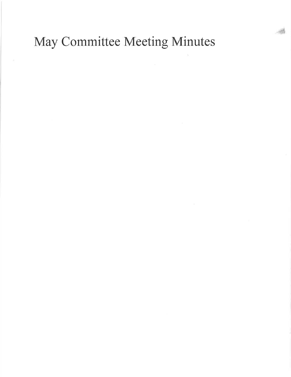May Committee Meeting Minutes

I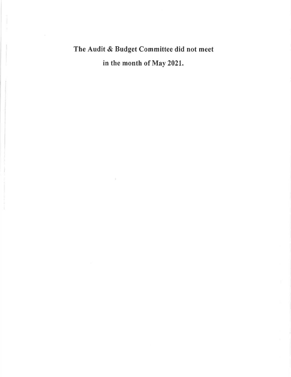# The Audit & Budget Committee did not meet in the month of May 2021.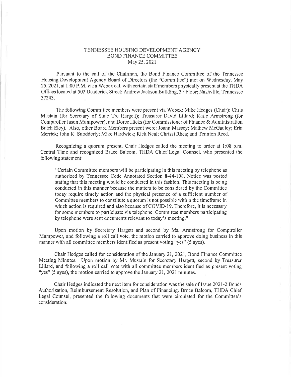### TENNESSEE HOUSING DEVELOPMENT AGENCY BOND FINANCE COMMITTEE May 25,2021

Pursuant to the call of the Chairman, the Bond Finance Committee of the Tennessee Housing Development Agency Board of Directors (the "Committee") met on Wednesday, May 25,2021, at l:00 P.M. via a Webex call with certain staff members physically present at the THDA Offices located at 502 Deaderick Street; Andrew Jackson Building, 3<sup>rd</sup> Floor; Nashville, Tennessee 37243.

The following Committee members were present via Webex: Mike Hedges (Chair); Chris Mustain (for Secretary of State Tre Hargell); Treasurer David Lillard; Katie Armstrong (for Comptroller Jason Mumpower); and Doree Hicks (for Commissioner of Finance & Administration Butch Eley), Also, other Board Members present were: Joann Massey; Mathew McGauley; Erin Merrick; John K. Snodderly; Mike Hardwick; Rick Neal; Chrissi Rhea; and Tennion Reed.

Recognizing a quorum present, Chair Hedges called the meeting to order at l:08 p.m. Central Time and recognized Bruce Balcom, THDA Chief Legal Counsel, who presented the following statement:

"Certain Committee members will be participating in this meeting by telephone as authorized by Tennessee Code Annotated Section 8-44-108. Notice was posted stating that this meeting would be conducted in this fashion. This meeting is being conducted in this manner because the matters to be considered by the Committee today require timely action and the physical presence of a sufficient number of Committee members to constitute a quorum is not possible within the timeframe in which action is required and also because of COVID-19. Therefore, it is necessary for some members to participate via telephone. Committee members participating by telephone were sent documents relevant to today's meeting."

Upon motion by Secretary Hargett and second by Ms. Armstrong for Comptroller Mumpower, and following a roll call vote, the motion caried to approve doing business in this manner with all committee members identified as present voting "yes" (5 ayes).

Chair Hedges called for consideration of the January 21,2021, Bond Finance Committee Meeting Minutes. Upon motion by Mr. Mustain for Secretary Hargett, second by Treasurer Lillard, and following a roll call vote with all committee members identified as present voting "yes" (5 ayes), the motion carried to approve the January 21, 2021 minutes.

Chair Hedges indicated the next item for consideration was the sale of Issue 2021-2 Bonds Authorization, Reimbursement Resolution, and Plan of Financing, Bruce Balcom, THDA Chief Legal Counsel, presented the following documents that were circulated for the Committee's consideration: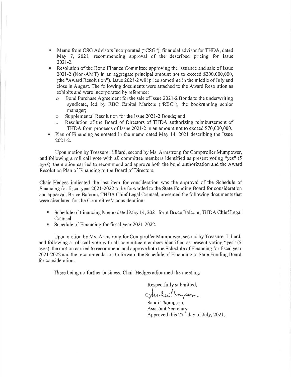- **Memo from CSG Advisors Incorporated ("CSG"), financial advisor for THDA, dated** May 7, 2021, recommending approval of the described pricing for Issue 2021-2.
- Resolution of the Bond Finance Committee approving the issuance and sale of Issue 2021-2 (Non-AMT) in an aggregate principal amount not to exceed \$200,000,000, (the "Award Resolution"). Issue 2021-2 will price sometime in the middle of July and close in August. The following documents were attached to the Award Resolution as exhibits and were incorporated by reference:
	- o Bond Purchase Agreemont forthe sale of Issue 2021-2 Bonds to the underwriting syndicate, led by RBC Capital Markets ("RBC"), the bookrunning senior manager;
	- o Supplemental Resolution for the Issue 2021-2 Bonds; and
	- o Resolution of the Board of Directors of TIIDA authorizing reimbursement of THDA from proceeds of Issue 2021-2 in an amount not to exceed \$70,000,000.
- Plan of Financing as notated in the memo dated May 14, 2021 describing the Issue 202t-2.

Upon motion by Treasurer Lillard, second by Ms, Armstrong for Comptroller Mumpower, and following a roll call vote with all committee members identified as present voting "yes" (5 ayes), the motion carried to recommend and approve both the bond authorization and the Award Resolution Plan of Financing to the Board of Directors.

Chair Hedges indicated the last item for consideration was the approval of the Schedule of Financing for fiscal year 2021-2022 to be forwarded to the State Funding Board for consideration and approval. Bruce Balcom, THDA Chief Legal Counsel, presented the following documents that were circulated for the Committee's consideration:

- **F** Schedule of Financing Memo dated May 14, 2021 form Bruce Balcom, THDA Chief Legal Counsel
- Schedule of Financing for fiscal year  $2021-2022$ .

Upon motion by Ms, Armstrong for Comptroller Mumpower, second by Treasurer Lillard, and tbllowing a roll call vote with all committee members identified as present voting "yes" (5 ayes), the motion carried to recommend and approve both the Schedule of Financing for fiscal year 2021-2022 and the recommendatjon to forward the Schedule of Financing to State Funding Board for consideration.

There being no further business, Chair Hedges adjourned the meeting,

Respectfully submitted,

Jarden ( longson

Sandi Thompson, Assistant Secretary Approved this  $27<sup>th</sup>$  day of July,  $2021$ .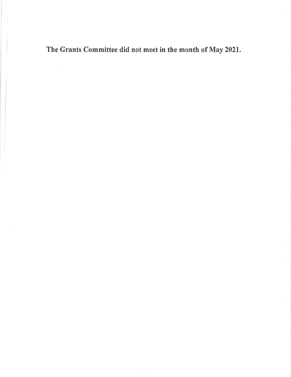The Grants Committee did not meet in the month of May 2021.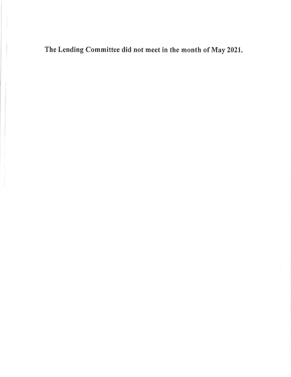The Lending Committee did not meet in the month of May 2021,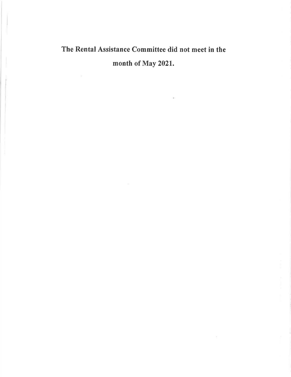# The Rental Assistance Committee did not meet in the month of May 2021.

×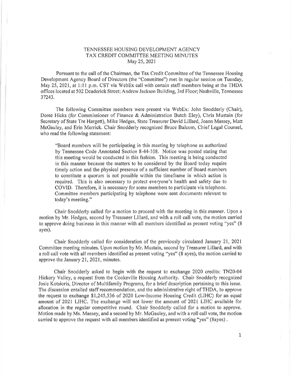### TENNESSEE HOUS]NG DEVELOPMENT AGENCY TAX CREDIT COMMITTEE MEETING MINUTES May 25,2021

Pursuant to the call of the Chairman, the Tax Credit Commiltee of the Tennessee Housing Development Agency Board of Directors (the "Committee") met in regular session on Tuesday, May 25, 2021, at 1:11 p.m. CST via WebEx call with certain staff members being at the THDA offices located at 502 Deaderick Street; Andrew Jackson Building, 3rd Floor; Nashville, Tennessee 37243.

The following Committee members were present via WebEx: John Snodderly (Chair), Doree Hicks (for Commissioner of Finance & Administration Butch Eley), Chris Mustain (for Secretary of State Tre Hargeft), Mike Hedges, State 'Ireasurer David Lillard, Joann Massey, Matt McGauley, and Erin Merrick, Chair Snodderly recognized Bruce Balcom, Chief Legal Counsel, who read the following statement;

"Board members will be participating in this meeting by telephone as authorized by Tennessee Code Annotated Section 8-44-108, Notice was posted stating that this meeting would be conducted in this fashion. This meeting is being conducted in this manner because the matters to be considered by the Board today require timely action and the physical presence of a sufficient number of Board members to constitute a quorum is not possible within the timeframe in which action is required. This is also necessary to protect everyone's health and safety due to COVID. Therefore, it is necessary for some members to participate via telephone. Committee members participating by telephone were sent documents relevant to today's meeting."

Chair Snodderly called for a motion to proceed with the meeting in this manner. Upon a motion by Mr. Hedges, second by Treasurer Lillard, and with a roll call vote, the motion carried to approve doing business in this manner with all members identified as present voting "yos" (8 ayes),

Chair Snodderly called for consideration of the previously circulated January 21,2021 Committee meeting minutes. Upon motion by Mr. Mustain, second by Treasurer Lillard, and with a roll oall vote with all members identified as present voting "yes" (8 ayes), the motion carried to approve the January 21,2021, minutes.

Chair Snodderly asked to begin with the rcquest to exchange 2020 credits: TN20-04 Hickory Valley, a request from the Cookeville Housing Authority. Chair Snodderly recognized Josie Kotsioris, Director of Multifamily Programs, for a brief description pertaining to this issue, The discussion entailed staff recommendation, and the administrative right of THDA, to approve the request to exchange \$1,245,536 of 2020 Low-lncome Housing Credit (LIHC) for an equal amount of 2021 LIHC, The exchange will not lower the amount of 2021 LIHC available for allocation in the regular competitive round, Chair Snodderly called for a motion to approve. Motion made by Ms, Massey, and a second by Mr. McGauley, and with a roll call vote, the motion carried to approve the request with all members identified as present voting "yes" (8ayes) ,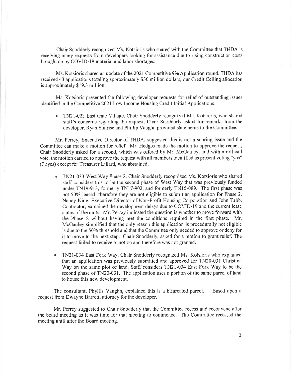Chair Snodderly recognized Ms, Kotsioris who shared with the Committee that THDA is receiving many requests from developers looking for assistance due to rising construction costs brought on by COVID-19 material and labor shortages,

Ms. Kotsioris shared an update of the 2021 Competitive 9% Application round. THDA has received 43 applications totaling approximately \$30 million dollars; our Credit Ceiling allocation is approximately \$19,3 million.

Ms, Kotsioris presented the following developer requests for relief of outstanding issues identified in the Competitive 2021 Low Income Housing Credit Initial Applications:

TN2l-023 East Gate Village. Chair Snodderly recognized Ms. Kotsioris, who shared a staffs concerns regarding the request. Chair Snodderly asked for remarks from the developer. Ryan Sunrise and Phillip Vaughn provided statements to the Committee.

Mr, Perrey, Executive Director of THDA, suggested this is not a scoring issue and the Committee can make a motion for relief. Mr. Hedges made the motion to approve the request, Chair Snodderly asked for a second, which was offered by Mr. McGauley, and with a roll call vote, the motion carried to approve the request with all members identified as present voting "yes" (7 ayes) except for Treasurer Lillard, who abstained,

- TN2l-033 West Way Phase 2. Chair Snodderly recognized Ms. Kotsiotis who shared a staff considers this to be the seoond phase of West Way that was previously funded under TN19-913, formerly TN17-902, and formerly TN15-089. The first phase was not 50% leased, therefore they are not eligible to submit an application for Phase 2. Nancy King, Executive Director of Non-Profit Housing Corporation and John Tabb, Contractor, explained the development delays due to COVID-19 and the current lease status of the units, Mr. Perrey indicated the question is whether to move forward with the Phase 2 without having met the conditions required in the first phase. Mr. McGauley simplified that the only reason this application is procedurally not eligible is due to the 50% threshold and that the Committee only needed to approve or deny for it to move to the next step. Chair Snodderly, asked for a motion to grant relief. The request failed to receive a motion and therefore was not granted.
- r TN2l-034 East Fork Way. Chair Snodderly recognized Ms, Kotsioris who explained that an application was previously submitted and approved for TN20-031 Christina Way on the same plot of land. Staff considers TN21-034 East Fork Way to be the second phase of TN20-031, The application uses a portion of the same parcel of land to house this new development.

The consultant, Phyllis Vaughn, explained this is a bifurcated parcel, Based upon <sup>a</sup> request from Dwayne Barrett, attorney for the developer.

Mr, Perrey suggested to Chair Snodderly that the Committee recess and reconvene after the board meeting as it was time for that meeting to commence. The Committee recessed the meeting until after the Board meeting.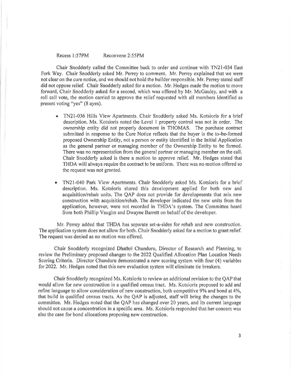#### Recess l:57PM Reconvene 2:55PM

Chair Snodderly called the Committee back to order and continue with TN21-034 East Fork Way. Chair Snodderly asked Mr. Perrey to comment. Mr, Perrey explained that we were not clear on the cure notice, and we should not hold the builder responsible. Mr. Perrey stated staff did not oppose relief. Chair Snodderly asked for a motion. Mr. Hedges made the motion to move forward, Chair Snodderly asked for a second, which was offered by Mr. McGauley, and with <sup>a</sup> roll call vote, the motion carried to approve the relief requested with all members identified as present voting "yes" (8 ayes).

- TN21-036 Hills View Apartments. Chair Snodderly asked Ms. Kotsioris for a brief description. Ms, Kotsioris noted the Level 1 property control was not in order. The ownership entity did not properly document in THOMAS, 'Ihe purchase contract submitted in response to the Cure Notice reflects that the buyer is the to-be-formed proposed Ownership Entity, not a person or entity identified in the Initial Application as the general partner or managing member of the Ownership Entity to be formed, There was no representation from the general partner or managing member on the call. Chair Snodderly asked is there a motion to approve relief. Mr. Hedges stated that THDA will always require the contract to be uniform, There was no motion offered so the request was not granted,
- TN21-040 Park View Apartments, Chair Snodderly asked Ms. Kotsioris for a brief description. Ms. Kotsioris shared this development applied for both new and acquisition/rehab units. The QAP does not provide for developments that mix new construction with acquisition/rehab, The developer indicated the new units from the application, however, were not recorded in THDA's system, The Committee heard from both Phillip Vaughn and Dwayne Barrett on behalf of the developer. o

Mr. Perrey added that THDA has separate set-a-sides for rehab and new construction. The application system does not allow for both. Chair Snodderly asked for a motion to grant relief, The request was denied as no motion was offered.

Chair Snodderly recognized Dhathri Chunduru, Director of Research and Planning, to review the Preliminary proposed changes to the 2022 Qualified Allocation Plan Location Needs Scoring Criteria. Director Chunduru demonstrated a new scoring system with four (4) variables for2022, Mr. Hedges noted that this new evaluation system will eliminate tie breakers.

Chair Snodderly recognized Ms, Kotsioris to review an additional revision to the QAP that would allow for new construction in a qualified census tract, Ms, Kotsioris proposed to add and refine language to allow consideration of new construction, both competitive 9% and bond at 4%, that build in qualified census tracts, As the QAP is adjusted, staff will bring the changes to the committee. Mr. Hedges noted that the QAP has changed over 20 years, and its current language should not cause a concentration in a specific area. Ms. Kotsioris responded that her concern was also the case for bond allocations proposing new construction.